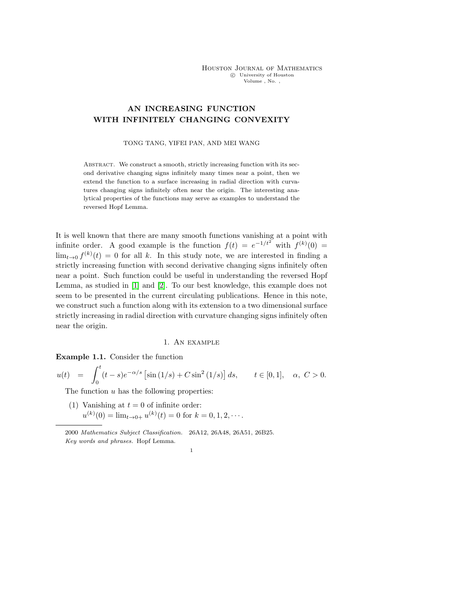# AN INCREASING FUNCTION WITH INFINITELY CHANGING CONVEXITY

### TONG TANG, YIFEI PAN, AND MEI WANG

ABSTRACT. We construct a smooth, strictly increasing function with its second derivative changing signs infinitely many times near a point, then we extend the function to a surface increasing in radial direction with curvatures changing signs infinitely often near the origin. The interesting analytical properties of the functions may serve as examples to understand the reversed Hopf Lemma.

It is well known that there are many smooth functions vanishing at a point with infinite order. A good example is the function  $f(t) = e^{-1/t^2}$  with  $f^{(k)}(0) =$  $\lim_{t\to 0} f^{(k)}(t) = 0$  for all k. In this study note, we are interested in finding a strictly increasing function with second derivative changing signs infinitely often near a point. Such function could be useful in understanding the reversed Hopf Lemma, as studied in [\[1\]](#page-8-0) and [\[2\]](#page-8-1). To our best knowledge, this example does not seem to be presented in the current circulating publications. Hence in this note, we construct such a function along with its extension to a two dimensional surface strictly increasing in radial direction with curvature changing signs infinitely often near the origin.

## 1. An example

<span id="page-0-0"></span>Example 1.1. Consider the function

 $u(t) = \int_0^t$ 0  $(t-s)e^{-\alpha/s}$   $\left[\sin{(1/s)} + C\sin^2{(1/s)}\right]ds$ ,  $t \in [0,1], \alpha, C > 0$ .

The function  $u$  has the following properties:

(1) Vanishing at  $t = 0$  of infinite order:

 $u^{(k)}(0) = \lim_{t \to 0+} u^{(k)}(t) = 0$  for  $k = 0, 1, 2, \cdots$ .

<sup>2000</sup> Mathematics Subject Classification. 26A12, 26A48, 26A51, 26B25. Key words and phrases. Hopf Lemma.

<sup>1</sup>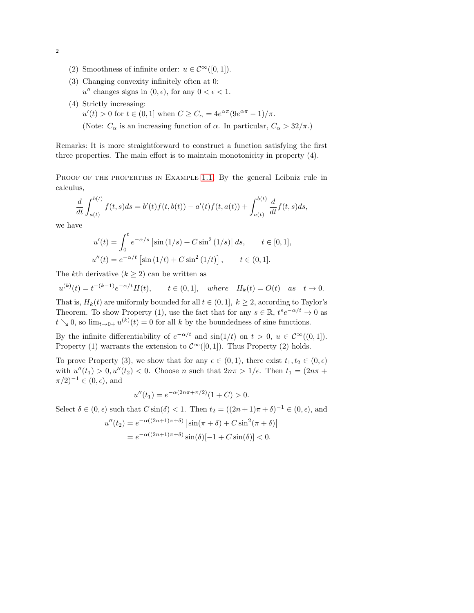- (2) Smoothness of infinite order:  $u \in C^{\infty}([0,1]).$
- (3) Changing convexity infinitely often at 0:  $u''$  changes signs in  $(0, \epsilon)$ , for any  $0 < \epsilon < 1$ .
- (4) Strictly increasing:
	- $u'(t) > 0$  for  $t \in (0, 1]$  when  $C \geq C_{\alpha} = 4e^{\alpha \pi} (9e^{\alpha \pi} 1)/\pi$ .
	- (Note:  $C_{\alpha}$  is an increasing function of  $\alpha$ . In particular,  $C_{\alpha} > 32/\pi$ .)

Remarks: It is more straightforward to construct a function satisfying the first three properties. The main effort is to maintain monotonicity in property (4).

PROOF OF THE PROPERTIES IN EXAMPLE [1.1.](#page-0-0) By the general Leibniz rule in calculus,

$$
\frac{d}{dt} \int_{a(t)}^{b(t)} f(t,s)ds = b'(t)f(t,b(t)) - a'(t)f(t,a(t)) + \int_{a(t)}^{b(t)} \frac{d}{dt}f(t,s)ds,
$$

we have

$$
u'(t) = \int_0^t e^{-\alpha/s} \left[ \sin(1/s) + C \sin^2(1/s) \right] ds, \qquad t \in [0, 1],
$$
  

$$
u''(t) = e^{-\alpha/t} \left[ \sin(1/t) + C \sin^2(1/t) \right], \qquad t \in (0, 1].
$$

The kth derivative  $(k \geq 2)$  can be written as

 $u^{(k)}(t) = t^{-(k-1)}e^{-\alpha/t}H(t), \t t \in (0,1], \text{ where } H_k(t) = O(t) \text{ as } t \to 0.$ 

That is,  $H_k(t)$  are uniformly bounded for all  $t \in (0, 1], k \geq 2$ , according to Taylor's Theorem. To show Property (1), use the fact that for any  $s \in \mathbb{R}$ ,  $t^s e^{-\alpha/t} \to 0$  as  $t \searrow 0$ , so  $\lim_{t \to 0+} u^{(k)}(t) = 0$  for all k by the boundedness of sine functions.

By the infinite differentiability of  $e^{-\alpha/t}$  and  $\sin(1/t)$  on  $t > 0$ ,  $u \in C^{\infty}((0,1])$ . Property (1) warrants the extension to  $\mathcal{C}^{\infty}([0,1])$ . Thus Property (2) holds.

To prove Property (3), we show that for any  $\epsilon \in (0,1)$ , there exist  $t_1, t_2 \in (0,\epsilon)$ with  $u''(t_1) > 0, u''(t_2) < 0$ . Choose n such that  $2n\pi > 1/\epsilon$ . Then  $t_1 = (2n\pi +$  $(\pi/2)^{-1} \in (0, \epsilon)$ , and

$$
u''(t_1) = e^{-\alpha(2n\pi + \pi/2)}(1+C) > 0.
$$

Select  $\delta \in (0, \epsilon)$  such that  $C \sin(\delta) < 1$ . Then  $t_2 = ((2n + 1)\pi + \delta)^{-1} \in (0, \epsilon)$ , and

$$
u''(t_2) = e^{-\alpha((2n+1)\pi+\delta)} \left[ \sin(\pi+\delta) + C \sin^2(\pi+\delta) \right]
$$

$$
= e^{-\alpha((2n+1)\pi+\delta)} \sin(\delta)[-1 + C \sin(\delta)] < 0.
$$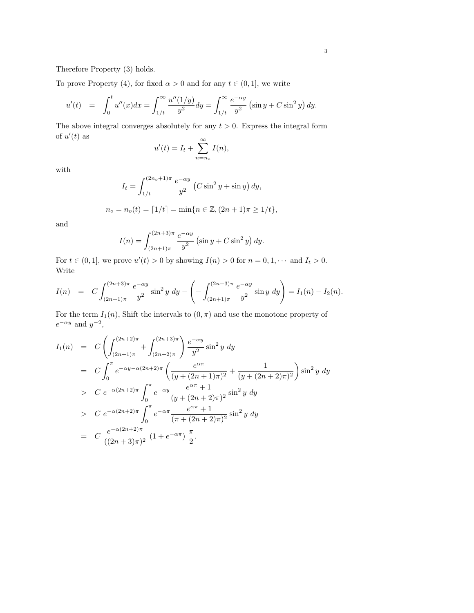Therefore Property (3) holds.

To prove Property (4), for fixed  $\alpha > 0$  and for any  $t \in (0, 1]$ , we write

$$
u'(t) = \int_0^t u''(x)dx = \int_{1/t}^\infty \frac{u''(1/y)}{y^2} dy = \int_{1/t}^\infty \frac{e^{-\alpha y}}{y^2} (\sin y + C \sin^2 y) dy.
$$

The above integral converges absolutely for any  $t > 0$ . Express the integral form of  $u'(t)$  as  $\sim$ 

$$
u'(t) = I_t + \sum_{n=n_o}^{\infty} I(n),
$$

with

$$
I_t = \int_{1/t}^{(2n_o + 1)\pi} \frac{e^{-\alpha y}}{y^2} \left( C \sin^2 y + \sin y \right) dy,
$$
  

$$
n_o = n_o(t) = \lceil 1/t \rceil = \min\{n \in \mathbb{Z}, (2n + 1)\pi \ge 1/t\},
$$

and

$$
I(n) = \int_{(2n+1)\pi}^{(2n+3)\pi} \frac{e^{-\alpha y}}{y^2} \left(\sin y + C \sin^2 y\right) dy.
$$

For  $t \in (0,1]$ , we prove  $u'(t) > 0$  by showing  $I(n) > 0$  for  $n = 0, 1, \cdots$  and  $I_t > 0$ . Write

$$
I(n) = C \int_{(2n+1)\pi}^{(2n+3)\pi} \frac{e^{-\alpha y}}{y^2} \sin^2 y \, dy - \left( - \int_{(2n+1)\pi}^{(2n+3)\pi} \frac{e^{-\alpha y}}{y^2} \sin y \, dy \right) = I_1(n) - I_2(n).
$$

For the term  $I_1(n)$ , Shift the intervals to  $(0, \pi)$  and use the monotone property of  $e^{-\alpha y}$  and  $y^{-2}$ ,

$$
I_1(n) = C \left( \int_{(2n+1)\pi}^{(2n+2)\pi} + \int_{(2n+2)\pi}^{(2n+3)\pi} \right) \frac{e^{-\alpha y}}{y^2} \sin^2 y \, dy
$$
  
\n
$$
= C \int_0^{\pi} e^{-\alpha y - \alpha (2n+2)\pi} \left( \frac{e^{\alpha \pi}}{(y + (2n+1)\pi)^2} + \frac{1}{(y + (2n+2)\pi)^2} \right) \sin^2 y \, dy
$$
  
\n
$$
> C e^{-\alpha (2n+2)\pi} \int_0^{\pi} e^{-\alpha y} \frac{e^{\alpha \pi} + 1}{(y + (2n+2)\pi)^2} \sin^2 y \, dy
$$
  
\n
$$
> C e^{-\alpha (2n+2)\pi} \int_0^{\pi} e^{-\alpha \pi} \frac{e^{\alpha \pi} + 1}{(\pi + (2n+2)\pi)^2} \sin^2 y \, dy
$$
  
\n
$$
= C \frac{e^{-\alpha (2n+2)\pi}}{((2n+3)\pi)^2} (1 + e^{-\alpha \pi}) \frac{\pi}{2}.
$$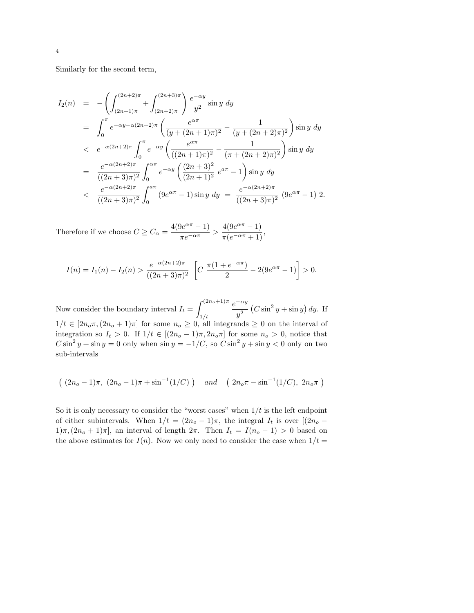Similarly for the second term,

$$
I_2(n) = -\left(\int_{(2n+1)\pi}^{(2n+2)\pi} + \int_{(2n+2)\pi}^{(2n+3)\pi} \right) \frac{e^{-\alpha y}}{y^2} \sin y \, dy
$$
  
\n
$$
= \int_0^{\pi} e^{-\alpha y - \alpha (2n+2)\pi} \left(\frac{e^{\alpha \pi}}{(y + (2n+1)\pi)^2} - \frac{1}{(y + (2n+2)\pi)^2}\right) \sin y \, dy
$$
  
\n
$$
< e^{-\alpha (2n+2)\pi} \int_0^{\pi} e^{-\alpha y} \left(\frac{e^{\alpha \pi}}{((2n+1)\pi)^2} - \frac{1}{(\pi + (2n+2)\pi)^2}\right) \sin y \, dy
$$
  
\n
$$
= \frac{e^{-\alpha (2n+2)\pi}}{((2n+3)\pi)^2} \int_0^{\alpha \pi} e^{-\alpha y} \left(\frac{(2n+3)^2}{(2n+1)^2} e^{\alpha \pi} - 1\right) \sin y \, dy
$$
  
\n
$$
< \frac{e^{-\alpha (2n+2)\pi}}{((2n+3)\pi)^2} \int_0^{a\pi} (9e^{\alpha \pi} - 1) \sin y \, dy = \frac{e^{-\alpha (2n+2)\pi}}{((2n+3)\pi)^2} (9e^{\alpha \pi} - 1) 2.
$$

Therefore if we choose  $C \geq C_{\alpha} = \frac{4(9e^{\alpha \pi} - 1)}{2.5 \cdot 10^{-7}}$  $\frac{\theta e^{\alpha \pi} - 1}{\pi e^{-\alpha \pi}} > \frac{4(9e^{\alpha \pi} - 1)}{\pi(e^{-\alpha \pi} + 1)}$  $\frac{1(e^{\alpha} - 1)}{\pi(e^{-\alpha \pi} + 1)},$ 

$$
I(n) = I_1(n) - I_2(n) > \frac{e^{-\alpha(2n+2)\pi}}{((2n+3)\pi)^2} \left[ C \frac{\pi(1+e^{-\alpha\pi})}{2} - 2(9e^{\alpha\pi} - 1) \right] > 0.
$$

Now consider the boundary interval  $I_t = \int^{(2n_o+1)\pi}$  $1/t$  $e^{-\alpha y}$  $y^2$   $(C \sin^2 y + \sin y) dy$ . If  $1/t \in [2n_0\pi,(2n_0+1)\pi]$  for some  $n_0 \geq 0$ , all integrands  $\geq 0$  on the interval of integration so  $I_t > 0$ . If  $1/t \in [(2n<sub>o</sub> - 1)\pi, 2n<sub>o</sub>\pi]$  for some  $n<sub>o</sub> > 0$ , notice that  $C \sin^2 y + \sin y = 0$  only when  $\sin y = -1/C$ , so  $C \sin^2 y + \sin y < 0$  only on two sub-intervals

$$
((2n_o-1)\pi, (2n_o-1)\pi + \sin^{-1}(1/C))
$$
 and  $(2n_o\pi - \sin^{-1}(1/C), 2n_o\pi)$ 

So it is only necessary to consider the "worst cases" when  $1/t$  is the left endpoint of either subintervals. When  $1/t = (2n_o - 1)\pi$ , the integral  $I_t$  is over  $[(2n_o 1\pi,(2n_o+1)\pi$ , an interval of length  $2\pi$ . Then  $I_t = I(n_o-1) > 0$  based on the above estimates for  $I(n)$ . Now we only need to consider the case when  $1/t =$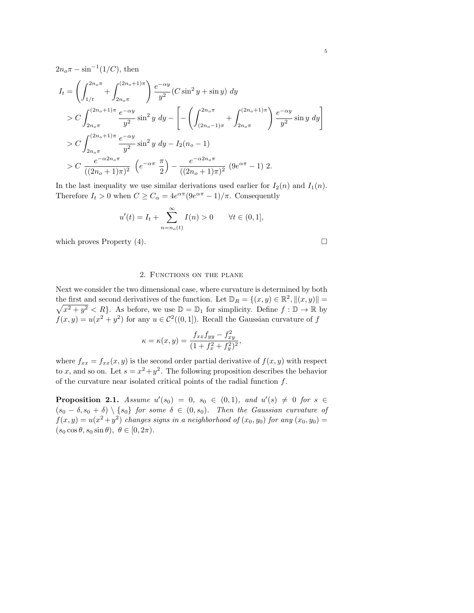$2n_o \pi - \sin^{-1}(1/C)$ , then

$$
I_{t} = \left(\int_{1/t}^{2n_{o}\pi} + \int_{2n_{o}\pi}^{(2n_{o}+1)\pi}\right) \frac{e^{-\alpha y}}{y^{2}} (C \sin^{2} y + \sin y) dy
$$
  
>  $C \int_{2n_{o}\pi}^{(2n_{o}+1)\pi} \frac{e^{-\alpha y}}{y^{2}} \sin^{2} y dy - \left[ - \left(\int_{(2n_{o}-1)\pi}^{2n_{o}\pi} + \int_{2n_{o}\pi}^{(2n_{o}+1)\pi}\right) \frac{e^{-\alpha y}}{y^{2}} \sin y dy \right]$   
>  $C \int_{2n_{o}\pi}^{(2n_{o}+1)\pi} \frac{e^{-\alpha y}}{y^{2}} \sin^{2} y dy - I_{2}(n_{o} - 1)$   
>  $C \frac{e^{-\alpha 2n_{o}\pi}}{((2n_{o}+1)\pi)^{2}} \left(e^{-\alpha \pi} \frac{\pi}{2}\right) - \frac{e^{-\alpha 2n_{o}\pi}}{((2n_{o}+1)\pi)^{2}} (9e^{\alpha \pi} - 1) 2.$ 

In the last inequality we use similar derivations used earlier for  $I_2(n)$  and  $I_1(n)$ . Therefore  $I_t > 0$  when  $C \geq C_\alpha = 4e^{\alpha \pi} (9e^{\alpha \pi} - 1)/\pi$ . Consequently

$$
u'(t) = I_t + \sum_{n=n_o(t)}^{\infty} I(n) > 0
$$
  $\forall t \in (0,1],$ 

which proves Property  $(4)$ .

### 2. FUNCTIONS ON THE PLANE

Next we consider the two dimensional case, where curvature is determined by both the first and second derivatives of the function. Let  $\mathbb{D}_R = \{(x, y) \in \mathbb{R}^2\}$ the first and second derivatives of the function. Let  $\mathbb{D}_R = \{(x, y) \in \mathbb{R}^2, \|(x, y)\| = \sqrt{x^2 + y^2} < R\}$ . As before, we use  $\mathbb{D} = \mathbb{D}_1$  for simplicity. Define  $f : \mathbb{D} \to \mathbb{R}$  by  $f(x,y) = u(x^2 + y^2)$  for any  $u \in C^2((0,1])$ . Recall the Gaussian curvature of f

$$
\kappa = \kappa(x, y) = \frac{f_{xx}f_{yy} - f_{xy}^2}{(1 + f_x^2 + f_y^2)^2}
$$

,

where  $f_{xx} = f_{xx}(x, y)$  is the second order partial derivative of  $f(x, y)$  with respect to x, and so on. Let  $s = x^2 + y^2$ . The following proposition describes the behavior of the curvature near isolated critical points of the radial function f.

**Proposition 2.1.** Assume  $u'(s_0) = 0$ ,  $s_0 \in (0,1)$ , and  $u'(s) \neq 0$  for  $s \in$  $(s_0 - \delta, s_0 + \delta) \setminus \{s_0\}$  for some  $\delta \in (0, s_0)$ . Then the Gaussian curvature of  $f(x,y) = u(x^2 + y^2)$  changes signs in a neighborhood of  $(x_0, y_0)$  for any  $(x_0, y_0)$  =  $(s_0 \cos \theta, s_0 \sin \theta), \ \theta \in [0, 2\pi).$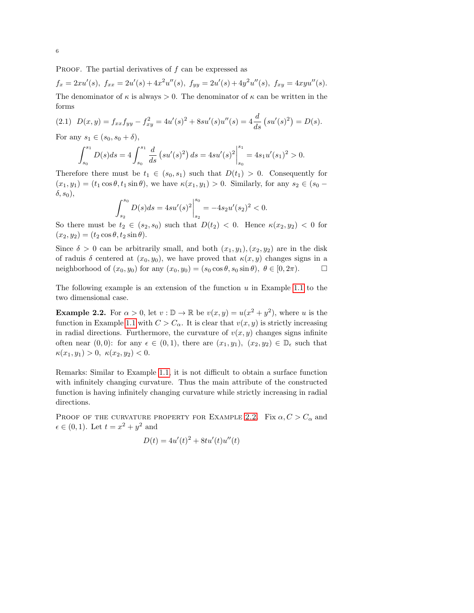PROOF. The partial derivatives of  $f$  can be expressed as

$$
f_x = 2xu'(s), \ f_{xx} = 2u'(s) + 4x^2u''(s), \ f_{yy} = 2u'(s) + 4y^2u''(s), \ f_{xy} = 4xyu''(s).
$$

The denominator of  $\kappa$  is always  $> 0$ . The denominator of  $\kappa$  can be written in the forms

<span id="page-5-1"></span>
$$
(2.1) \ \ D(x,y) = f_{xx}f_{yy} - f_{xy}^2 = 4u'(s)^2 + 8su'(s)u''(s) = 4\frac{d}{ds}\left(su'(s)^2\right) = D(s).
$$

For any  $s_1 \in (s_0, s_0 + \delta)$ ,

$$
\int_{s_0}^{s_1} D(s)ds = 4 \int_{s_0}^{s_1} \frac{d}{ds} \left( su'(s)^2 \right) ds = 4su'(s)^2 \Big|_{s_0}^{s_1} = 4s_1 u'(s_1)^2 > 0.
$$

Therefore there must be  $t_1 \in (s_0, s_1)$  such that  $D(t_1) > 0$ . Consequently for  $(x_1, y_1) = (t_1 \cos \theta, t_1 \sin \theta)$ , we have  $\kappa(x_1, y_1) > 0$ . Similarly, for any  $s_2 \in (s_0 \delta, s_0$ ),

$$
\int_{s_2}^{s_0} D(s)ds = 4su'(s)^2 \Big|_{s_2}^{s_0} = -4s_2u'(s_2)^2 < 0.
$$

So there must be  $t_2 \in (s_2, s_0)$  such that  $D(t_2) < 0$ . Hence  $\kappa(x_2, y_2) < 0$  for  $(x_2, y_2) = (t_2 \cos \theta, t_2 \sin \theta).$ 

Since  $\delta > 0$  can be arbitrarily small, and both  $(x_1, y_1), (x_2, y_2)$  are in the disk of raduis  $\delta$  centered at  $(x_0, y_0)$ , we have proved that  $\kappa(x, y)$  changes signs in a neighborhood of  $(x_0, y_0)$  for any  $(x_0, y_0) = (s_0 \cos \theta, s_0 \sin \theta), \ \theta \in [0, 2\pi)$ .

The following example is an extension of the function  $u$  in Example [1.1](#page-0-0) to the two dimensional case.

<span id="page-5-0"></span>**Example 2.2.** For  $\alpha > 0$ , let  $v : \mathbb{D} \to \mathbb{R}$  be  $v(x, y) = u(x^2 + y^2)$ , where u is the function in Example [1.1](#page-0-0) with  $C > C_{\alpha}$ . It is clear that  $v(x, y)$  is strictly increasing in radial directions. Furthermore, the curvature of  $v(x, y)$  changes signs infinite often near  $(0, 0)$ : for any  $\epsilon \in (0, 1)$ , there are  $(x_1, y_1)$ ,  $(x_2, y_2) \in \mathbb{D}_{\epsilon}$  such that  $\kappa(x_1, y_1) > 0, \; \kappa(x_2, y_2) < 0.$ 

Remarks: Similar to Example [1.1,](#page-0-0) it is not difficult to obtain a surface function with infinitely changing curvature. Thus the main attribute of the constructed function is having infinitely changing curvature while strictly increasing in radial directions.

PROOF OF THE CURVATURE PROPERTY FOR EXAMPLE [2.2.](#page-5-0) Fix  $\alpha, C > C_{\alpha}$  and  $\epsilon \in (0,1)$ . Let  $t = x^2 + y^2$  and

$$
D(t) = 4u'(t)^{2} + 8tu'(t)u''(t)
$$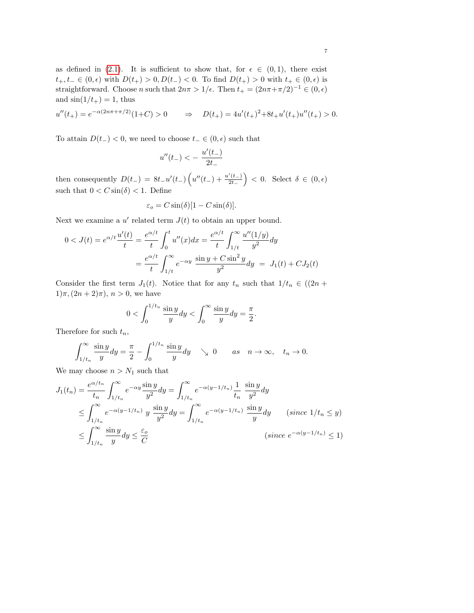as defined in [\(2.1\)](#page-5-1). It is sufficient to show that, for  $\epsilon \in (0,1)$ , there exist  $t_+, t_- \in (0, \epsilon)$  with  $D(t_+) > 0, D(t_-) < 0$ . To find  $D(t_+) > 0$  with  $t_+ \in (0, \epsilon)$  is straightforward. Choose n such that  $2n\pi > 1/\epsilon$ . Then  $t_{+} = (2n\pi + \pi/2)^{-1} \in (0, \epsilon)$ and  $\sin(1/t_{+}) = 1$ , thus

$$
u''(t_+) = e^{-\alpha(2n\pi + \pi/2)}(1+C) > 0 \qquad \Rightarrow \quad D(t_+) = 4u'(t_+)^2 + 8t_+u'(t_+)u''(t_+) > 0.
$$

To attain  $D(t_{-}) < 0$ , we need to choose  $t_{-} \in (0, \epsilon)$  such that

$$
u''(t_-) < -\; \frac{u'(t_-)}{2t_-}
$$

then consequently  $D(t_{-}) = 8t_{-}u'(t_{-})\left(u''(t_{-}) + \frac{u'(t_{-})}{2t}\right)$  $\left(\frac{2}{2t-1}\right)$  < 0. Select  $\delta \in (0, \epsilon)$ such that  $0 < C \sin(\delta) < 1$ . Define

$$
\varepsilon_o = C \sin(\delta) [1 - C \sin(\delta)].
$$

Next we examine a  $u'$  related term  $J(t)$  to obtain an upper bound.

$$
0 < J(t) = e^{\alpha/t} \frac{u'(t)}{t} = \frac{e^{\alpha/t}}{t} \int_0^t u''(x) dx = \frac{e^{\alpha/t}}{t} \int_{1/t}^{\infty} \frac{u''(1/y)}{y^2} dy
$$

$$
= \frac{e^{\alpha/t}}{t} \int_{1/t}^{\infty} e^{-\alpha y} \frac{\sin y + C \sin^2 y}{y^2} dy = J_1(t) + C J_2(t)
$$

Consider the first term  $J_1(t)$ . Notice that for any  $t_n$  such that  $1/t_n \in ((2n +$  $1)\pi,(2n+2)\pi), n > 0$ , we have

$$
0 < \int_0^{1/t_n} \frac{\sin y}{y} dy < \int_0^\infty \frac{\sin y}{y} dy = \frac{\pi}{2}.
$$

Therefore for such  $t_n$ ,

$$
\int_{1/t_n}^{\infty} \frac{\sin y}{y} dy = \frac{\pi}{2} - \int_0^{1/t_n} \frac{\sin y}{y} dy \quad \searrow 0 \quad as \quad n \to \infty, \quad t_n \to 0.
$$

We may choose  $n > N_1$  such that

$$
J_1(t_n) = \frac{e^{\alpha/t_n}}{t_n} \int_{1/t_n}^{\infty} e^{-\alpha y} \frac{\sin y}{y^2} dy = \int_{1/t_n}^{\infty} e^{-\alpha(y-1/t_n)} \frac{1}{t_n} \frac{\sin y}{y^2} dy
$$
  
\n
$$
\leq \int_{1/t_n}^{\infty} e^{-\alpha(y-1/t_n)} y \frac{\sin y}{y^2} dy = \int_{1/t_n}^{\infty} e^{-\alpha(y-1/t_n)} \frac{\sin y}{y} dy \quad \text{(since } 1/t_n \leq y\text{)}
$$
  
\n
$$
\leq \int_{1/t_n}^{\infty} \frac{\sin y}{y} dy \leq \frac{\varepsilon_o}{C}
$$
  
\n
$$
\text{(since } e^{-\alpha(y-1/t_n)} \leq 1\text{)}
$$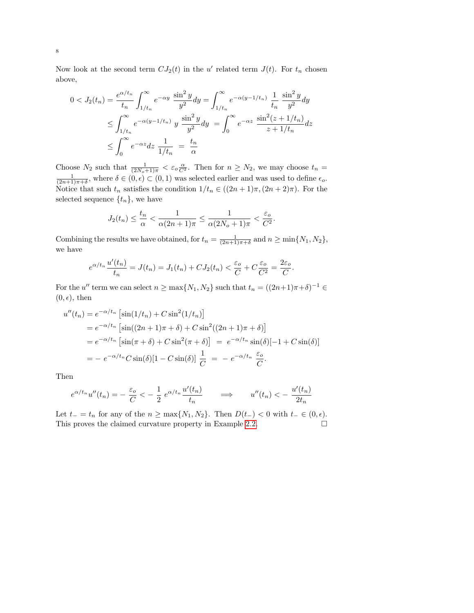Now look at the second term  $CJ_2(t)$  in the u' related term  $J(t)$ . For  $t_n$  chosen above,

$$
0 < J_2(t_n) = \frac{e^{\alpha/t_n}}{t_n} \int_{1/t_n}^{\infty} e^{-\alpha y} \frac{\sin^2 y}{y^2} dy = \int_{1/t_n}^{\infty} e^{-\alpha(y-1/t_n)} \frac{1}{t_n} \frac{\sin^2 y}{y^2} dy
$$
  

$$
\leq \int_{1/t_n}^{\infty} e^{-\alpha(y-1/t_n)} y \frac{\sin^2 y}{y^2} dy = \int_0^{\infty} e^{-\alpha z} \frac{\sin^2(z+1/t_n)}{z+1/t_n} dz
$$
  

$$
\leq \int_0^{\infty} e^{-\alpha z} dz \frac{1}{1/t_n} = \frac{t_n}{\alpha}
$$

Choose  $N_2$  such that  $\frac{1}{(2N_o+1)\pi} < \varepsilon_o \frac{\alpha}{C^2}$ . Then for  $n \ge N_2$ , we may choose  $t_n = \frac{1}{(2n+1)\pi+\delta}$ , where  $\delta \in (0,\epsilon) \subset (0,1)$  was selected earlier and was used to define  $\epsilon_o$ . Notice that such  $t_n$  satisfies the condition  $1/t_n \in ((2n+1)\pi, (2n+2)\pi)$ . For the selected sequence  $\{t_n\}$ , we have

$$
J_2(t_n) \le \frac{t_n}{\alpha} < \frac{1}{\alpha(2n+1)\pi} \le \frac{1}{\alpha(2N_o+1)\pi} < \frac{\varepsilon_o}{C^2}.
$$

Combining the results we have obtained, for  $t_n = \frac{1}{(2n+1)\pi+\delta}$  and  $n \ge \min\{N_1, N_2\}$ , we have

$$
e^{\alpha/t_n} \frac{u'(t_n)}{t_n} = J(t_n) = J_1(t_n) + C J_2(t_n) < \frac{\varepsilon_o}{C} + C \frac{\varepsilon_o}{C^2} = \frac{2\varepsilon_o}{C}.
$$

For the u'' term we can select  $n \ge \max\{N_1, N_2\}$  such that  $t_n = ((2n+1)\pi + \delta)^{-1} \in$  $(0, \epsilon)$ , then

$$
u''(t_n) = e^{-\alpha/t_n} \left[ \sin(1/t_n) + C \sin^2(1/t_n) \right]
$$
  
=  $e^{-\alpha/t_n} \left[ \sin((2n+1)\pi + \delta) + C \sin^2((2n+1)\pi + \delta) \right]$   
=  $e^{-\alpha/t_n} \left[ \sin(\pi + \delta) + C \sin^2(\pi + \delta) \right] = e^{-\alpha/t_n} \sin(\delta) [-1 + C \sin(\delta)]$   
=  $- e^{-\alpha/t_n} C \sin(\delta) [1 - C \sin(\delta)] \frac{1}{C} = -e^{-\alpha/t_n} \frac{\varepsilon_o}{C}.$ 

Then

$$
e^{\alpha/t_n}u''(t_n) = -\frac{\varepsilon_o}{C} < -\frac{1}{2}e^{\alpha/t_n}\frac{u'(t_n)}{t_n} \qquad \Longrightarrow \qquad u''(t_n) < -\frac{u'(t_n)}{2t_n}
$$

Let  $t_ - = t_n$  for any of the  $n \ge \max\{N_1, N_2\}$ . Then  $D(t_-) < 0$  with  $t_- \in (0, \epsilon)$ . This proves the claimed curvature property in Example [2.2.](#page-5-0)